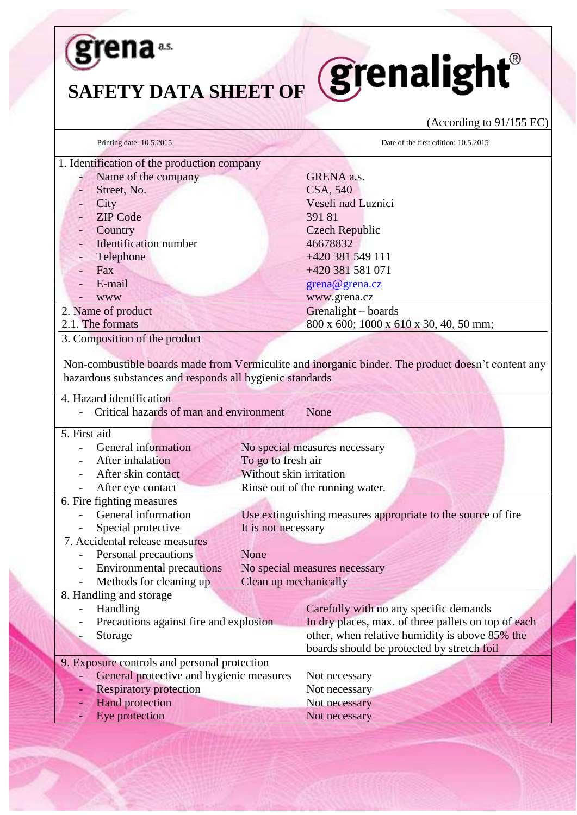

## SAFETY DATA SHEET OF **SEPALLISHT**®

## (According to 91/155 EC)

| Printing date: 10.5.2015                                 | Date of the first edition: 10.5.2015                                                               |
|----------------------------------------------------------|----------------------------------------------------------------------------------------------------|
| 1. Identification of the production company              |                                                                                                    |
| Name of the company                                      | GRENA a.s.                                                                                         |
| Street, No.                                              | CSA, 540                                                                                           |
| City                                                     | Veseli nad Luznici                                                                                 |
| <b>ZIP</b> Code                                          | 39181                                                                                              |
| Country                                                  | <b>Czech Republic</b>                                                                              |
| <b>Identification</b> number                             | 46678832                                                                                           |
| Telephone                                                | +420 381 549 111                                                                                   |
| Fax                                                      | +420 381 581 071                                                                                   |
| E-mail                                                   | grena@grena.cz                                                                                     |
| <b>WWW</b>                                               | www.grena.cz                                                                                       |
| 2. Name of product                                       | Grenalight - boards                                                                                |
| 2.1. The formats                                         | 800 x 600; 1000 x 610 x 30, 40, 50 mm;                                                             |
| 3. Composition of the product                            |                                                                                                    |
|                                                          |                                                                                                    |
|                                                          | Non-combustible boards made from Vermiculite and inorganic binder. The product doesn't content any |
| hazardous substances and responds all hygienic standards |                                                                                                    |
|                                                          |                                                                                                    |
| 4. Hazard identification                                 |                                                                                                    |
| Critical hazards of man and environment                  | None                                                                                               |
| 5. First aid                                             |                                                                                                    |
| General information                                      |                                                                                                    |
| After inhalation                                         | No special measures necessary                                                                      |
| After skin contact                                       | To go to fresh air<br>Without skin irritation                                                      |
|                                                          |                                                                                                    |
| After eye contact                                        | Rinse out of the running water.                                                                    |
| 6. Fire fighting measures                                |                                                                                                    |
| General information                                      | Use extinguishing measures appropriate to the source of fire                                       |
| Special protective                                       | It is not necessary                                                                                |
| 7. Accidental release measures                           |                                                                                                    |
| Personal precautions                                     | None                                                                                               |
| <b>Environmental precautions</b>                         | No special measures necessary                                                                      |
| Methods for cleaning up                                  | Clean up mechanically                                                                              |
| 8. Handling and storage                                  |                                                                                                    |
| Handling                                                 | Carefully with no any specific demands                                                             |
| Precautions against fire and explosion                   | In dry places, max. of three pallets on top of each                                                |
| Storage                                                  | other, when relative humidity is above 85% the                                                     |
|                                                          | boards should be protected by stretch foil                                                         |
| 9. Exposure controls and personal protection             |                                                                                                    |
| General protective and hygienic measures                 | Not necessary                                                                                      |
| <b>Respiratory protection</b>                            | Not necessary                                                                                      |
| <b>Hand protection</b>                                   | Not necessary                                                                                      |
| Eye protection                                           | Not necessary                                                                                      |
|                                                          |                                                                                                    |